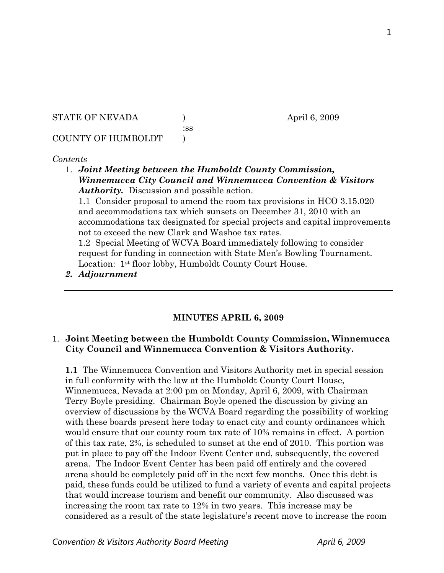STATE OF NEVADA (a) (b) april 6, 2009

:ss

## COUNTY OF HUMBOLDT )

## *Contents*

1. *Joint Meeting between the Humboldt County Commission, Winnemucca City Council and Winnemucca Convention & Visitors Authority.* Discussion and possible action.

1.1 Consider proposal to amend the room tax provisions in HCO 3.15.020 and accommodations tax which sunsets on December 31, 2010 with an accommodations tax designated for special projects and capital improvements not to exceed the new Clark and Washoe tax rates.

1.2 Special Meeting of WCVA Board immediately following to consider request for funding in connection with State Men's Bowling Tournament. Location: 1st floor lobby, Humboldt County Court House.

*2. Adjournment* 

## **MINUTES APRIL 6, 2009**

## 1. **Joint Meeting between the Humboldt County Commission, Winnemucca City Council and Winnemucca Convention & Visitors Authority.**

**1.1** The Winnemucca Convention and Visitors Authority met in special session in full conformity with the law at the Humboldt County Court House, Winnemucca, Nevada at 2:00 pm on Monday, April 6, 2009, with Chairman Terry Boyle presiding. Chairman Boyle opened the discussion by giving an overview of discussions by the WCVA Board regarding the possibility of working with these boards present here today to enact city and county ordinances which would ensure that our county room tax rate of 10% remains in effect. A portion of this tax rate, 2%, is scheduled to sunset at the end of 2010. This portion was put in place to pay off the Indoor Event Center and, subsequently, the covered arena. The Indoor Event Center has been paid off entirely and the covered arena should be completely paid off in the next few months. Once this debt is paid, these funds could be utilized to fund a variety of events and capital projects that would increase tourism and benefit our community. Also discussed was increasing the room tax rate to 12% in two years. This increase may be considered as a result of the state legislature's recent move to increase the room

**Convention & Visitors Authority Board Meeting** April 6, 2009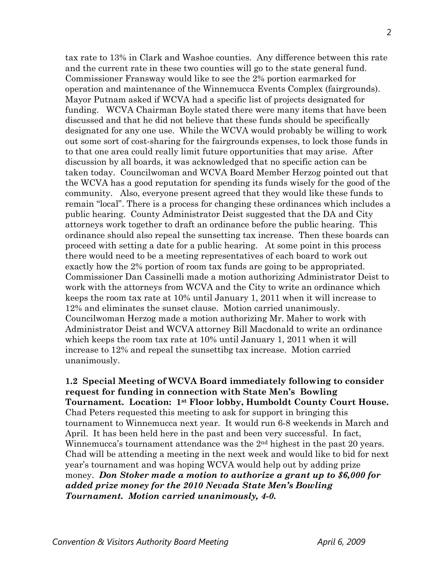tax rate to 13% in Clark and Washoe counties. Any difference between this rate and the current rate in these two counties will go to the state general fund. Commissioner Fransway would like to see the 2% portion earmarked for operation and maintenance of the Winnemucca Events Complex (fairgrounds). Mayor Putnam asked if WCVA had a specific list of projects designated for funding. WCVA Chairman Boyle stated there were many items that have been discussed and that he did not believe that these funds should be specifically designated for any one use. While the WCVA would probably be willing to work out some sort of cost-sharing for the fairgrounds expenses, to lock those funds in to that one area could really limit future opportunities that may arise. After discussion by all boards, it was acknowledged that no specific action can be taken today. Councilwoman and WCVA Board Member Herzog pointed out that the WCVA has a good reputation for spending its funds wisely for the good of the community. Also, everyone present agreed that they would like these funds to remain "local". There is a process for changing these ordinances which includes a public hearing. County Administrator Deist suggested that the DA and City attorneys work together to draft an ordinance before the public hearing. This ordinance should also repeal the sunsetting tax increase. Then these boards can proceed with setting a date for a public hearing. At some point in this process there would need to be a meeting representatives of each board to work out exactly how the 2% portion of room tax funds are going to be appropriated. Commissioner Dan Cassinelli made a motion authorizing Administrator Deist to work with the attorneys from WCVA and the City to write an ordinance which keeps the room tax rate at 10% until January 1, 2011 when it will increase to 12% and eliminates the sunset clause. Motion carried unanimously. Councilwoman Herzog made a motion authorizing Mr. Maher to work with Administrator Deist and WCVA attorney Bill Macdonald to write an ordinance which keeps the room tax rate at 10% until January 1, 2011 when it will increase to 12% and repeal the sunsettibg tax increase. Motion carried unanimously.

**1.2 Special Meeting of WCVA Board immediately following to consider request for funding in connection with State Men's Bowling Tournament. Location: 1st Floor lobby, Humboldt County Court House.**  Chad Peters requested this meeting to ask for support in bringing this tournament to Winnemucca next year. It would run 6-8 weekends in March and April. It has been held here in the past and been very successful. In fact, Winnemucca's tournament attendance was the 2<sup>nd</sup> highest in the past 20 years. Chad will be attending a meeting in the next week and would like to bid for next year's tournament and was hoping WCVA would help out by adding prize money. *Don Stoker made a motion to authorize a grant up to \$6,000 for added prize money for the 2010 Nevada State Men's Bowling Tournament. Motion carried unanimously, 4-0.*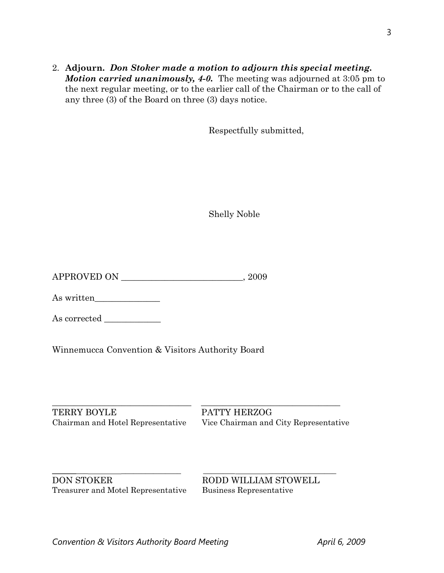2. **Adjourn.** *Don Stoker made a motion to adjourn this special meeting. Motion carried unanimously, 4-0.* The meeting was adjourned at 3:05 pm to the next regular meeting, or to the earlier call of the Chairman or to the call of any three (3) of the Board on three (3) days notice.

Respectfully submitted,

Shelly Noble

As written\_\_\_\_\_\_\_\_\_\_\_\_\_\_\_

As corrected \_\_\_\_\_\_\_\_\_\_\_\_\_

Winnemucca Convention & Visitors Authority Board

\_\_\_\_\_\_\_\_\_\_\_\_\_\_\_\_\_\_\_\_\_\_\_\_\_\_\_\_\_\_\_\_ \_\_\_\_\_\_\_\_\_\_\_\_\_\_\_\_\_\_\_\_\_\_\_\_\_\_\_\_\_\_\_\_ TERRY BOYLE PATTY HERZOG

Chairman and Hotel Representative Vice Chairman and City Representative

\_\_\_\_\_\_\_\_\_ \_\_\_\_\_\_\_\_\_\_\_\_\_\_\_ \_\_\_\_\_\_\_\_ \_\_\_\_\_\_\_\_\_\_\_\_\_\_\_\_\_ DON STOKER RODD WILLIAM STOWELL Treasurer and Motel Representative Business Representative